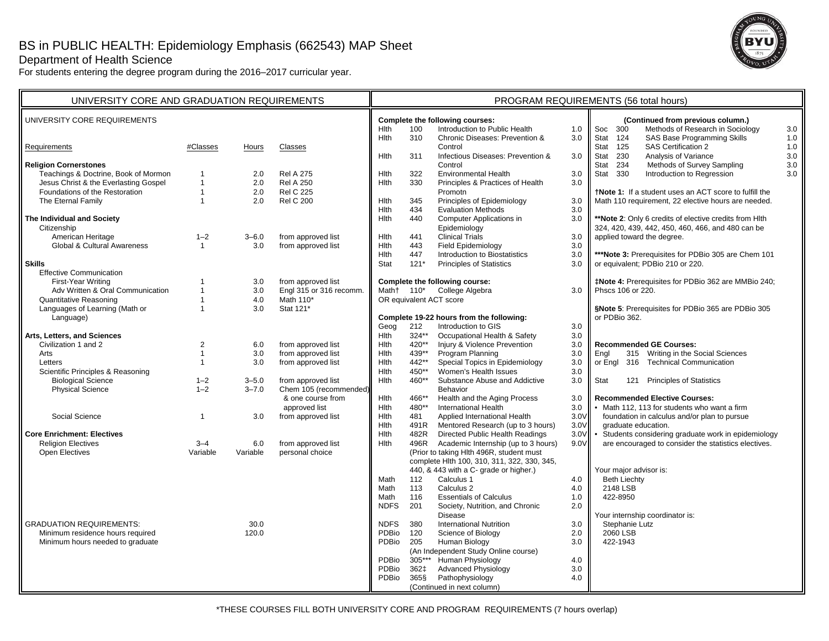## Department of Health Science

For students entering the degree program during the 2016–2017 curricular year.



| UNIVERSITY CORE AND GRADUATION REQUIREMENTS                       |                              | PROGRAM REQUIREMENTS (56 total hours) |                                       |                                          |                                                          |                                                                                         |                                                       |                                                                                           |  |  |  |  |
|-------------------------------------------------------------------|------------------------------|---------------------------------------|---------------------------------------|------------------------------------------|----------------------------------------------------------|-----------------------------------------------------------------------------------------|-------------------------------------------------------|-------------------------------------------------------------------------------------------|--|--|--|--|
| UNIVERSITY CORE REQUIREMENTS                                      |                              |                                       |                                       |                                          |                                                          | Complete the following courses:                                                         |                                                       | (Continued from previous column.)                                                         |  |  |  |  |
|                                                                   |                              |                                       | <b>H</b> Ith                          | 100                                      | Introduction to Public Health                            | 1.0                                                                                     | Methods of Research in Sociology<br>Soc<br>300<br>3.0 |                                                                                           |  |  |  |  |
|                                                                   |                              |                                       |                                       | Hlth                                     | 310                                                      | Chronic Diseases: Prevention &                                                          | 3.0                                                   | Stat<br>124<br>SAS Base Programming Skills<br>1.0                                         |  |  |  |  |
| Requirements                                                      | #Classes                     | Hours                                 | Classes                               | Hlth                                     | 311                                                      | Control<br>Infectious Diseases: Prevention &                                            | 3.0                                                   | SAS Certification 2<br>Stat<br>125<br>$1.0$<br>Analysis of Variance<br>3.0<br>Stat<br>230 |  |  |  |  |
| <b>Religion Cornerstones</b>                                      |                              |                                       |                                       |                                          |                                                          | Control                                                                                 |                                                       | 3.0<br>234<br>Methods of Survey Sampling<br>Stat                                          |  |  |  |  |
| Teachings & Doctrine, Book of Mormon                              | $\overline{1}$               | 2.0                                   | <b>Rel A 275</b>                      | Hith                                     | 322                                                      | <b>Environmental Health</b>                                                             | 3.0                                                   | 3.0<br>Stat<br>330<br>Introduction to Regression                                          |  |  |  |  |
| Jesus Christ & the Everlasting Gospel                             | $\mathbf{1}$                 | 2.0                                   | <b>Rel A 250</b>                      | Hlth                                     | 330                                                      | Principles & Practices of Health                                                        | 3.0                                                   |                                                                                           |  |  |  |  |
| Foundations of the Restoration                                    | $\mathbf{1}$                 | 2.0                                   | <b>Rel C 225</b>                      |                                          |                                                          | Promotn                                                                                 |                                                       | <b>tNote 1:</b> If a student uses an ACT score to fulfill the                             |  |  |  |  |
| The Eternal Family                                                | $\overline{1}$               | 2.0                                   | <b>Rel C 200</b>                      | Hlth                                     | 345                                                      | Principles of Epidemiology                                                              | 3.0                                                   | Math 110 requirement, 22 elective hours are needed.                                       |  |  |  |  |
|                                                                   |                              |                                       |                                       | Hith                                     | 434                                                      | <b>Evaluation Methods</b>                                                               | 3.0                                                   |                                                                                           |  |  |  |  |
| The Individual and Society                                        |                              |                                       |                                       | Hith                                     | 440                                                      | Computer Applications in                                                                | 3.0                                                   | ** Note 2: Only 6 credits of elective credits from Hith                                   |  |  |  |  |
| Citizenship                                                       |                              |                                       |                                       |                                          |                                                          | Epidemiology                                                                            |                                                       | 324, 420, 439, 442, 450, 460, 466, and 480 can be                                         |  |  |  |  |
| American Heritage                                                 | $1 - 2$                      | $3 - 6.0$                             | from approved list                    | Hlth                                     | 441                                                      | <b>Clinical Trials</b>                                                                  | 3.0                                                   | applied toward the degree.                                                                |  |  |  |  |
| Global & Cultural Awareness                                       | $\mathbf{1}$                 | 3.0                                   | from approved list                    | Hlth                                     | 443                                                      | <b>Field Epidemiology</b>                                                               | 3.0                                                   |                                                                                           |  |  |  |  |
|                                                                   |                              |                                       |                                       | Hlth                                     | 447                                                      | Introduction to Biostatistics                                                           | 3.0                                                   | *** Note 3: Prerequisites for PDBio 305 are Chem 101                                      |  |  |  |  |
| <b>Skills</b>                                                     |                              |                                       |                                       | Stat                                     | $121*$                                                   | <b>Principles of Statistics</b>                                                         | 3.0                                                   | or equivalent; PDBio 210 or 220.                                                          |  |  |  |  |
| <b>Effective Communication</b>                                    |                              |                                       |                                       |                                          |                                                          |                                                                                         |                                                       |                                                                                           |  |  |  |  |
| First-Year Writing                                                | $\mathbf{1}$                 | 3.0                                   | from approved list                    |                                          |                                                          | Complete the following course:                                                          |                                                       | <b>‡Note 4: Prerequisites for PDBio 362 are MMBio 240;</b>                                |  |  |  |  |
| Adv Written & Oral Communication<br><b>Quantitative Reasoning</b> | $\mathbf{1}$<br>$\mathbf{1}$ | 3.0<br>4.0                            | Engl 315 or 316 recomm.<br>Math 110*  |                                          | College Algebra<br>Math+ 110*<br>OR equivalent ACT score |                                                                                         | 3.0                                                   | Phscs 106 or 220.                                                                         |  |  |  |  |
| Languages of Learning (Math or                                    | $\mathbf{1}$                 | 3.0                                   | Stat 121*                             |                                          |                                                          |                                                                                         |                                                       |                                                                                           |  |  |  |  |
| Language)                                                         |                              |                                       |                                       | Complete 19-22 hours from the following: |                                                          |                                                                                         |                                                       | §Note 5: Prerequisites for PDBio 365 are PDBio 305<br>or PDBio 362.                       |  |  |  |  |
|                                                                   |                              |                                       |                                       | Geog                                     | 212                                                      | Introduction to GIS                                                                     | 3.0                                                   |                                                                                           |  |  |  |  |
| Arts, Letters, and Sciences                                       |                              |                                       |                                       | <b>H</b> lth                             | $324**$                                                  | Occupational Health & Safety                                                            | 3.0                                                   |                                                                                           |  |  |  |  |
| Civilization 1 and 2                                              | 2                            | 6.0                                   | from approved list                    | Hlth                                     | 420**                                                    | Injury & Violence Prevention                                                            | 3.0                                                   | <b>Recommended GE Courses:</b>                                                            |  |  |  |  |
| Arts                                                              | $\overline{1}$               | 3.0                                   | from approved list                    | Hith                                     | 439**                                                    | Program Planning                                                                        | 3.0                                                   | Enal<br>315 Writing in the Social Sciences                                                |  |  |  |  |
| Letters                                                           | $\overline{1}$               | 3.0                                   | from approved list                    | Hlth                                     | 442**                                                    | Special Topics in Epidemiology                                                          | 3.0                                                   | 316 Technical Communication<br>or Engl                                                    |  |  |  |  |
| Scientific Principles & Reasoning                                 |                              |                                       |                                       | Hith                                     | 450**                                                    | Women's Health Issues                                                                   | 3.0                                                   |                                                                                           |  |  |  |  |
| <b>Biological Science</b>                                         | $1 - 2$                      | $3 - 5.0$                             | from approved list                    | Hlth                                     | 460**                                                    | Substance Abuse and Addictive                                                           | 3.0                                                   | Stat<br>121 Principles of Statistics                                                      |  |  |  |  |
| <b>Physical Science</b>                                           | $1 - 2$                      | $3 - 7.0$                             | Chem 105 (recommended)                |                                          | Behavior                                                 |                                                                                         |                                                       |                                                                                           |  |  |  |  |
|                                                                   |                              |                                       | & one course from                     | Hlth                                     | 466**                                                    | Health and the Aging Process                                                            | 3.0                                                   | <b>Recommended Elective Courses:</b>                                                      |  |  |  |  |
|                                                                   |                              |                                       | approved list                         | Hlth                                     | 480**                                                    | <b>International Health</b>                                                             | 3.0                                                   | • Math 112, 113 for students who want a firm                                              |  |  |  |  |
| Social Science                                                    | $\mathbf{1}$                 | 3.0                                   | from approved list                    |                                          | Hlth<br>481<br>Applied International Health              |                                                                                         | 3.0V                                                  | foundation in calculus and/or plan to pursue                                              |  |  |  |  |
|                                                                   |                              |                                       |                                       | Hlth                                     | 491R                                                     | Mentored Research (up to 3 hours)                                                       | 3.0V                                                  | graduate education.                                                                       |  |  |  |  |
| <b>Core Enrichment: Electives</b>                                 |                              |                                       |                                       | Hlth                                     | 482R                                                     | Directed Public Health Readings                                                         | 3.0V                                                  | Students considering graduate work in epidemiology                                        |  |  |  |  |
| <b>Religion Electives</b><br>Open Electives                       | $3 - 4$<br>Variable          | 6.0<br>Variable                       | from approved list<br>personal choice | Hlth                                     | 496R                                                     | Academic Internship (up to 3 hours)                                                     | 9.0V                                                  | are encouraged to consider the statistics electives.                                      |  |  |  |  |
|                                                                   |                              |                                       |                                       |                                          |                                                          | (Prior to taking Hlth 496R, student must<br>complete Hlth 100, 310, 311, 322, 330, 345, |                                                       |                                                                                           |  |  |  |  |
|                                                                   |                              |                                       |                                       |                                          |                                                          | 440, & 443 with a C- grade or higher.)                                                  |                                                       | Your major advisor is:                                                                    |  |  |  |  |
|                                                                   |                              |                                       |                                       | Math                                     | 112                                                      | Calculus 1                                                                              | 4.0                                                   | <b>Beth Liechty</b>                                                                       |  |  |  |  |
|                                                                   |                              |                                       |                                       | Math                                     | 113                                                      | Calculus <sub>2</sub>                                                                   | 4.0                                                   | 2148 LSB                                                                                  |  |  |  |  |
|                                                                   |                              |                                       |                                       | Math                                     | 116                                                      | <b>Essentials of Calculus</b>                                                           | 1.0                                                   | 422-8950                                                                                  |  |  |  |  |
|                                                                   |                              |                                       |                                       | <b>NDFS</b>                              | 201                                                      | Society, Nutrition, and Chronic                                                         | 2.0                                                   |                                                                                           |  |  |  |  |
|                                                                   |                              |                                       |                                       |                                          |                                                          | <b>Disease</b>                                                                          |                                                       | Your internship coordinator is:                                                           |  |  |  |  |
| <b>GRADUATION REQUIREMENTS:</b>                                   |                              | 30.0                                  |                                       | <b>NDFS</b>                              | 380                                                      | <b>International Nutrition</b>                                                          | 3.0                                                   | Stephanie Lutz                                                                            |  |  |  |  |
| Minimum residence hours required                                  |                              | 120.0                                 |                                       | PDBio                                    | 120                                                      | Science of Biology                                                                      | 2.0                                                   | 2060 LSB                                                                                  |  |  |  |  |
| Minimum hours needed to graduate                                  |                              |                                       |                                       | PDBio<br>205<br>Human Biology            |                                                          |                                                                                         | 3.0                                                   | 422-1943                                                                                  |  |  |  |  |
|                                                                   |                              |                                       |                                       |                                          | (An Independent Study Online course)                     |                                                                                         |                                                       |                                                                                           |  |  |  |  |
|                                                                   |                              |                                       |                                       | PDBio                                    | $305***$                                                 | Human Physiology                                                                        | 4.0                                                   |                                                                                           |  |  |  |  |
|                                                                   |                              |                                       |                                       | PDBio<br>PDBio                           | 362‡                                                     | <b>Advanced Physiology</b>                                                              | 3.0                                                   |                                                                                           |  |  |  |  |
|                                                                   |                              |                                       |                                       |                                          | 365§                                                     | Pathophysiology                                                                         | 4.0                                                   |                                                                                           |  |  |  |  |
|                                                                   |                              |                                       |                                       |                                          |                                                          | (Continued in next column)                                                              |                                                       |                                                                                           |  |  |  |  |